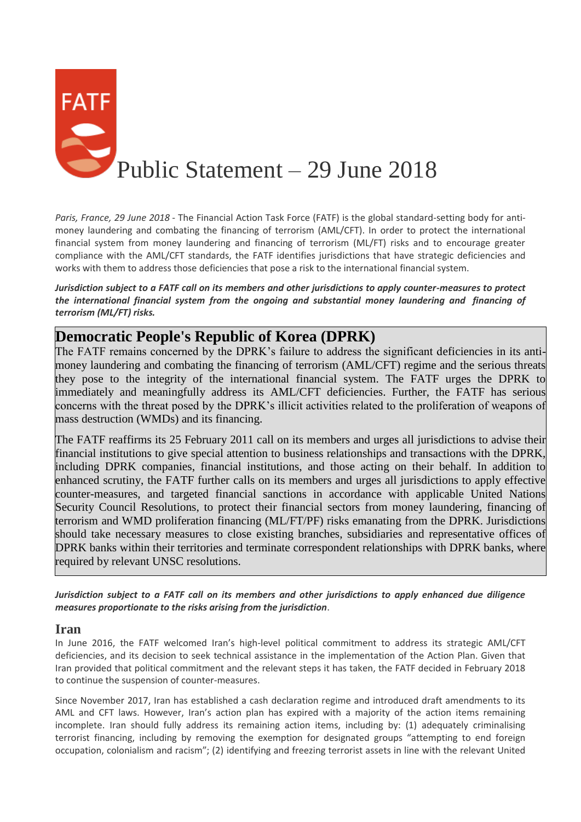

*Paris, France, 29 June 2018* - The Financial Action Task Force (FATF) is the global standard-setting body for antimoney laundering and combating the financing of terrorism (AML/CFT). In order to protect the international financial system from money laundering and financing of terrorism (ML/FT) risks and to encourage greater compliance with the AML/CFT standards, the FATF identifies jurisdictions that have strategic deficiencies and works with them to address those deficiencies that pose a risk to the international financial system.

*Jurisdiction subject to a FATF call on its members and other jurisdictions to apply counter-measures to protect the international financial system from the ongoing and substantial money laundering and financing of terrorism (ML/FT) risks.*

## **Democratic People's Republic of Korea (DPRK)**

The FATF remains concerned by the DPRK's failure to address the significant deficiencies in its antimoney laundering and combating the financing of terrorism (AML/CFT) regime and the serious threats they pose to the integrity of the international financial system. The FATF urges the DPRK to immediately and meaningfully address its AML/CFT deficiencies. Further, the FATF has serious concerns with the threat posed by the DPRK's illicit activities related to the proliferation of weapons of mass destruction (WMDs) and its financing.

The FATF reaffirms its 25 February 2011 call on its members and urges all jurisdictions to advise their financial institutions to give special attention to business relationships and transactions with the DPRK, including DPRK companies, financial institutions, and those acting on their behalf. In addition to enhanced scrutiny, the FATF further calls on its members and urges all jurisdictions to apply effective counter-measures, and targeted financial sanctions in accordance with applicable United Nations Security Council Resolutions, to protect their financial sectors from money laundering, financing of terrorism and WMD proliferation financing (ML/FT/PF) risks emanating from the DPRK. Jurisdictions should take necessary measures to close existing branches, subsidiaries and representative offices of DPRK banks within their territories and terminate correspondent relationships with DPRK banks, where required by relevant UNSC resolutions.

*Jurisdiction subject to a FATF call on its members and other jurisdictions to apply enhanced due diligence measures proportionate to the risks arising from the jurisdiction*.

## **Iran**

In June 2016, the FATF welcomed Iran's high-level political commitment to address its strategic AML/CFT deficiencies, and its decision to seek technical assistance in the implementation of the Action Plan. Given that Iran provided that political commitment and the relevant steps it has taken, the FATF decided in February 2018 to continue the suspension of counter-measures.

Since November 2017, Iran has established a cash declaration regime and introduced draft amendments to its AML and CFT laws. However, Iran's action plan has expired with a majority of the action items remaining incomplete. Iran should fully address its remaining action items, including by: (1) adequately criminalising terrorist financing, including by removing the exemption for designated groups "attempting to end foreign occupation, colonialism and racism"; (2) identifying and freezing terrorist assets in line with the relevant United